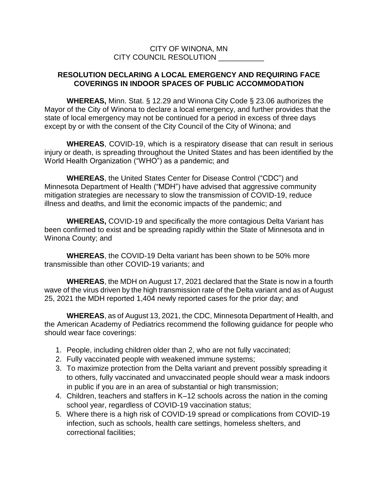## CITY OF WINONA, MN CITY COUNCIL RESOLUTION

## **RESOLUTION DECLARING A LOCAL EMERGENCY AND REQUIRING FACE COVERINGS IN INDOOR SPACES OF PUBLIC ACCOMMODATION**

**WHEREAS,** Minn. Stat. § 12.29 and Winona City Code § 23.06 authorizes the Mayor of the City of Winona to declare a local emergency, and further provides that the state of local emergency may not be continued for a period in excess of three days except by or with the consent of the City Council of the City of Winona; and

**WHEREAS**, COVID-19, which is a respiratory disease that can result in serious injury or death, is spreading throughout the United States and has been identified by the World Health Organization ("WHO") as a pandemic; and

**WHEREAS**, the United States Center for Disease Control ("CDC") and Minnesota Department of Health ("MDH") have advised that aggressive community mitigation strategies are necessary to slow the transmission of COVID-19, reduce illness and deaths, and limit the economic impacts of the pandemic; and

**WHEREAS,** COVID-19 and specifically the more contagious Delta Variant has been confirmed to exist and be spreading rapidly within the State of Minnesota and in Winona County; and

**WHEREAS**, the COVID-19 Delta variant has been shown to be 50% more transmissible than other COVID-19 variants; and

**WHEREAS**, the MDH on August 17, 2021 declared that the State is now in a fourth wave of the virus driven by the high transmission rate of the Delta variant and as of August 25, 2021 the MDH reported 1,404 newly reported cases for the prior day; and

**WHEREAS**, as of August 13, 2021, the CDC, Minnesota Department of Health, and the American Academy of Pediatrics recommend the following guidance for people who should wear face coverings:

- 1. People, including children older than 2, who are not fully vaccinated;
- 2. Fully vaccinated people with weakened immune systems;
- 3. To maximize protection from the Delta variant and prevent possibly spreading it to others, fully vaccinated and unvaccinated people should wear a mask indoors in public if you are in an area of substantial or high transmission;
- 4. Children, teachers and staffers in K–12 schools across the nation in the coming school year, regardless of COVID-19 vaccination status;
- 5. Where there is a high risk of COVID-19 spread or complications from COVID-19 infection, such as schools, health care settings, homeless shelters, and correctional facilities;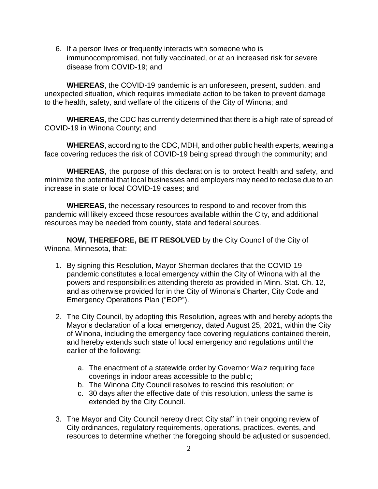6. If a person lives or frequently interacts with someone who is immunocompromised, not fully vaccinated, or at an increased risk for severe disease from COVID-19; and

**WHEREAS**, the COVID-19 pandemic is an unforeseen, present, sudden, and unexpected situation, which requires immediate action to be taken to prevent damage to the health, safety, and welfare of the citizens of the City of Winona; and

**WHEREAS**, the CDC has currently determined that there is a high rate of spread of COVID-19 in Winona County; and

**WHEREAS**, according to the CDC, MDH, and other public health experts, wearing a face covering reduces the risk of COVID-19 being spread through the community; and

**WHEREAS**, the purpose of this declaration is to protect health and safety, and minimize the potential that local businesses and employers may need to reclose due to an increase in state or local COVID-19 cases; and

**WHEREAS**, the necessary resources to respond to and recover from this pandemic will likely exceed those resources available within the City, and additional resources may be needed from county, state and federal sources.

**NOW, THEREFORE, BE IT RESOLVED** by the City Council of the City of Winona, Minnesota, that:

- 1. By signing this Resolution, Mayor Sherman declares that the COVID-19 pandemic constitutes a local emergency within the City of Winona with all the powers and responsibilities attending thereto as provided in Minn. Stat. Ch. 12, and as otherwise provided for in the City of Winona's Charter, City Code and Emergency Operations Plan ("EOP").
- 2. The City Council, by adopting this Resolution, agrees with and hereby adopts the Mayor's declaration of a local emergency, dated August 25, 2021, within the City of Winona, including the emergency face covering regulations contained therein, and hereby extends such state of local emergency and regulations until the earlier of the following:
	- a. The enactment of a statewide order by Governor Walz requiring face coverings in indoor areas accessible to the public;
	- b. The Winona City Council resolves to rescind this resolution; or
	- c. 30 days after the effective date of this resolution, unless the same is extended by the City Council.
- 3. The Mayor and City Council hereby direct City staff in their ongoing review of City ordinances, regulatory requirements, operations, practices, events, and resources to determine whether the foregoing should be adjusted or suspended,